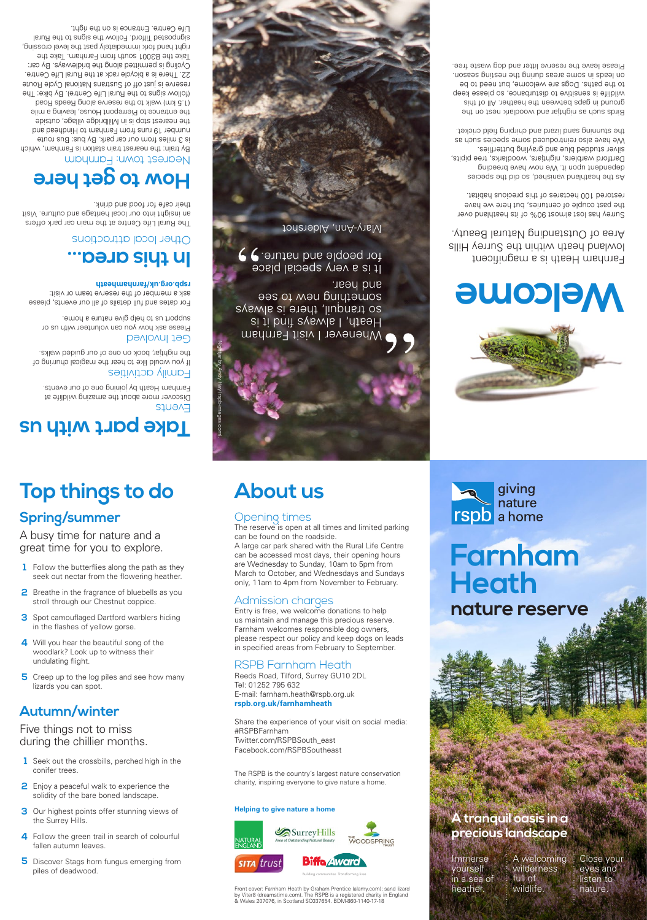**Top things to do** 

**Spring/summer**

Events Discover more about the amazing wildlife at Farnham Heath by joining one of our events.

A busy time for nature and a great time for you to explore.

**2** Breathe in the fragrance of bluebells as you stroll through our Chestnut coppice.

**3** Spot camouflaged Dartford warblers hiding

**5** Creep up to the log piles and see how many

Follow the butterflies along the path as they **1** seek out nectar from the flowering heather.

**4** Will you hear the beautiful song of the woodlark? Look up to witness their

in the flashes of yellow gorse.

undulating flight.

lizards you can spot.

### **Autumn/winter**

Five things not to miss during the chillier months.

Please ask how you can volunteer with us or supbort us to help give nature a home.

- Seek out the crossbills, perched high in the **1** conifer trees.
- **2** Enjoy a peaceful walk to experience the solidity of the bare boned landscape.
- **3** Our highest points offer stunning views of the Surrey Hills.
- **4** Follow the green trail in search of colourful fallen autumn leaves.
- **5** Discover Stags horn fungus emerging from piles of deadwood.

## **About us**



**Farnham** 

giving nature

**Heath**

**rspb** a home

As the heathland vanished, so the species dependent upon it. We now have breeding Dartford warblers, nightjars, woodlarks, tree pipits, seilthet and blue and grayling butterflies. We have also reintroduced some species such as the stunning sand lizard and chirping field cricket.

Birds such as nightjar and woodlark nest on the ground in gaps between the heather. All of this wildlife is sensitive to disturbance, so please keep to the paths. Dogs are welcome, but need to be on leads in some and the negale and season in speasure. Please leave the reserve litter and dog waste tree.

### Family activities

If you would like to hear the magical churring of the nightjar, book on one of our guided walks.

## Get Involved

For dates and full details of all our events, please ask a member of the reserve team or visit: **rspb.org.uk/farnhamheath**

Whenever I visit Farnham Heath, I always find it is so tranquil, there is always something new to see and hear.

It is a very special place for people and nature.  $\blacklozenge$ 

Nightjar by Andy Hay (rspb-images.com).

Farnham Heath is a magnificent lowland heath within the Surrey Hills Area of Outstanding Natural Beauty.

Surrey has lost almost 90% of its heathland over the past couple of centuries, but here we have restored 100 hectares of this precious habitat.

**nature reserve**

# **Welcome**

## **Take part with us**

nature.



wildlife.

heather.

The RSPB is the country's largest nature conservation charity, inspiring everyone to give nature a home.

Mary-Ann, Aldershot





## **In this area…** Other local attractions

The Rural Life Centre at the main car park offers an insight into our local heritage and culture. Visit their cafe for food and drink.

### Opening times

## The reserve is open at all times and limited parking

can be found on the roadside. A large car park shared with the Rural Life Centre can be accessed most days, their opening hours are Wednesday to Sunday, 10am to 5pm from March to October, and Wednesdays and Sundays only, 11am to 4pm from November to February.

# Admission charges

Entry is free, we welcome donations to help us maintain and manage this precious reserve. Farnham welcomes responsible dog owners, please respect our policy and keep dogs on leads in specified areas from February to September.

### RSPB Farnham Heath

# Tel: 01252 795 632

Reeds Road, Tilford, Surrey GU10 2DL E-mail: farnham.heath@rspb.org. **rspb.org.uk/farnhamheath** 

Share the experience of your visit on social media: #RSPBFarnham Twitter.com/RSPBSouth\_east Facebook.com/RSPBSoutheast

## **How to get here**

Nearest town: Farnham By train: the nearest train station is Farnham, which is 3 miles from our car park. By bus: Bus route number 19 runs from Farnham to Hindhead and the nearest stop is in Millbridge village, outside the entrance to Pierrepont House, leaving a mile (1.5 km) walk to the reserve along Reeds Road (follow signs to the Rural Life Centre). By bike: The reserve is just off of Sustrans National Cycle Route 22. There is a bicycle rack at the Rural Life Centre. Cycling is permitted along the bridleways. By car: Take the B3001 south from Farnham. Take the right hand fork immediately past the level crossing, signposted Tilford. Follow the signs to the Rural Life Centre. Entrance is on the right.

> Front cover: Farnham Heath by Graham Prentice (alamy.com); sand lizard by Viter8 (dreamstime.com). The RSPB is a registered charity in England & Wales 207076, in Scotland SC037654. BDM-860-1140-17-18



### **Helping to give nature a home**